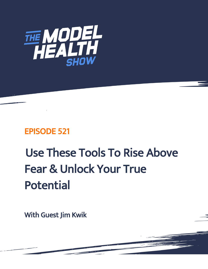

# EPISODE 521

# Use These Tools To Rise Above Fear & Unlock Your True Potential

With Guest Jim Kwik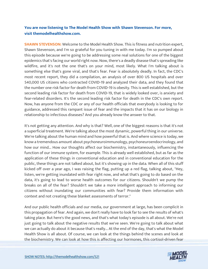# **You are now listening to The Model Health Show with Shawn Stevenson. For more, visit themodelhealthshow.com.**

**SHAWN STEVENSON:** Welcome to the Model Health Show. This is fitness and nutrition expert, Shawn Stevenson, and I'm so grateful for you tuning in with me today. I'm so pumped about this episode because we're going to be addressing some real solutions for one of the biggest epidemics that's facing our world right now. Now, there's a deadly disease that's spreading like wildfire, and it's not the one that's on your mind, most likely. What I'm talking about is something else that's gone viral, and that's fear. Fear is absolutely deadly. In fact, the CDC's most recent report, they did a compilation, an analysis of over 800 US hospitals and over 540,000 US citizens who contracted COVID-19 and analyzed their data, and they found that the number one risk factor for death from COVID-19 is obesity. This is well established, but the second leading risk factor for death from COVID-19, that is widely looked over, is anxiety and fear-related disorders. It's the second leading risk factor for death in the CDC's own report. Now, has anyone from the CDC or any of our health officials that everybody is looking to for guidance, addressed this rampant issue of fear and the impacts that it has on our biology in relationship to infectious diseases? And you already know the answer to that.

It's not getting any attention. And why is that? Well, one of the biggest reasons is that it's not a superficial treatment. We're talking about the most dynamic, powerful thing in our universe. We're talking about the human mind and how powerful that is. And where science is today, we know a tremendous amount about psychoneuroimmunology, psychoneuroendocrinology, and how our mind... How our thoughts affect our biochemistry, instantaneously, influencing the function of our immune system, for example. This is already well established, but as far as the application of these things in conventional education and in conventional education for the public, these things are not talked about, but it's showing up in the data. When all of this stuff kicked off over a year ago, I was raising the flag, putting up a red flag, talking about, "Hey, listen, we're getting inundated with fear right now, and what that's going to do based on the data, it's going to lead to worse health outcomes for our citizens. Shouldn't we pump the breaks on all of the fear? Shouldn't we take a more intelligent approach to informing our citizens without inundating our communities with fear? Provide them information with context and not creating these blanket assessments of terror."

And our public health officials and our media, our government at large, has been complicit in this propagation of fear. And again, we don't really have to look far to see the results of what's taking place. But here's the good news, and that's what today's episode is all about. We're not just going to talk about the negative results that we've seen. We're going to talk about what we can actually do about it because that's really... At the end of the day, that's what the Model Health Show is all about. Of course, we can look at the things behind the scenes and look at [the biochemistry. We can look at how this is affecting our hormones, this cortisol-driven fear](https://themodelhealthshow.com/jim-kwik-rise-above-fear/) 

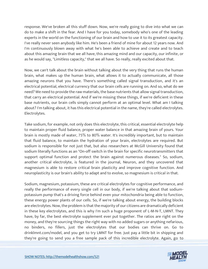response. We've broken all this stuff down. Now, we're really going to dive into what we can do to make a shift in the fear. And I have for you today, somebody who's one of the leading experts in the world on the functioning of our brain and how to use it to its greatest capacity. I've really never seen anybody like him. He's been a friend of mine for about 12 years now. And I'm continuously blown away with what he's been able to achieve and create and to teach about this amazing brain that we all have, this amazing mind and our capacity, our infinite, or as he would say, "Limitless capacity," that we all have. So really, really excited about that.

Now, we can't talk about the brain without talking about the very thing that runs the human brain, what makes up the human brain, what allows it to actually communicate, all those amazing neurons that you have. There's something called signal transduction, and it's an electrical potential, electrical currency that our brain cells are running on. And so, what do we need? We need to provide the raw materials, the base nutrients that allow signal transduction, that carry an electrical potential. And if we're missing these things, if we're deficient in these base nutrients, our brain cells simply cannot perform at an optimal level. What am I talking about? I'm talking about, it has this electrical potential in the name, they're called electrolytes. Electrolytes.

Take sodium, for example, not only does this electrolyte, this critical, essential electrolyte help to maintain proper fluid balance, proper water balance in that amazing brain of yours. Your brain is mostly made of water, 75% to 80% water. It's incredibly important, but to maintain that fluid balance, to maintain the hydration of your brain, electrolytes are required. But sodium is responsible for not just that, but also researchers at McGill University found that sodium literally functions as an "On-off switch in the brain for specific neurotransmitters that support optimal function and protect the brain against numerous diseases." So, sodium, another critical electrolyte, is featured in the journal, Neuron, and they uncovered that magnesium is able to restore critical brain plasticity and improve cognitive function. And neuroplasticity is our brain's ability to adapt and to evolve, so magnesium is critical in that.

Sodium, magnesium, potassium, these are critical electrolytes for cognitive performance, and really the performance of every single cell in our body, if we're talking about that sodiumpotassium pump that's a driving force behind even your mitochondria being able to function, these energy power plants of our cells. So, if we're talking about energy, the building blocks are electrolytes. Now, the problem is that the majority of our citizens are dramatically deficient in these key electrolytes, and this is why I'm such a huge proponent of L-M-N-T, LMNT. They have, by far, the best electrolyte supplement ever put together. The ratios are right on the money, and they're sourcing things the right way with no added sugars or anything nefarious, no binders, no fillers, just the electrolytes that our bodies can thrive on. Go to drinklmnt.com/model, and you get to try LMNT for free. Just pay a little bit in shipping and [they](https://themodelhealthshow.com/jim-kwik-rise-above-fear/)'[re going to send you a free sample pack of this incredible electrolyte. Again, go to](https://themodelhealthshow.com/jim-kwik-rise-above-fear/) 

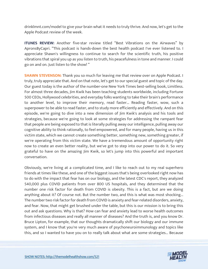drinklmnt.com/model to give your brain what it needs to truly thrive. And now, let's get to the Apple Podcast review of the week.

**ITUNES REVIEW:** Another five-star review titled "Best Vibrations on the Airwaves" by ApronsByCapri. "This podcast is hands-down the best health podcast I've ever listened to. I appreciate Shawn's willingness to continue to search for the scientific truth, his positive vibrations that spiral you up as you listen to truth, his peacefulness in tone and manner. I could go on and on. Just listen to the show! "

**SHAWN STEVENSON:** Thank you so much for leaving me that review over on Apple Podcast. I truly, truly appreciate that. And on that note, let's get to our special guest and topic of the day. Our guest today is the author of the number-one New York Times best-selling book, Limitless. For almost three decades, Jim Kwik has been teaching students worldwide, including Fortune 500 CEOs, Hollywood celebrities, and everyday folks wanting to take their brain's performance to another level, to improve their memory, read faster... Reading faster, wow, such a superpower to be able to read faster, and to study more efficiently and effectively. And on this episode, we're going to dive into a new dimension of Jim Kwik's analysis and his tools and strategies, because we're going to look at some strategies for addressing the rampant fear that people are being exposed to that is literally pulling away our intelligence, pulling away our cognitive ability to think rationally, to feel empowered, and for many people, having us in this victim state, which we cannot create something better, something new, something greater, if we're operating from this victim state. We have a tremendous amount of opportunity right now to create an even better reality, but we've got to step into our power to do it. So very grateful to have on the amazing Jim Kwik, so let's jump into this powerful and important conversation.

Obviously, we're living at a complicated time, and I like to reach out to my real superhero friends at times like these, and one of the biggest issues that's being overlooked right now has to do with the impact that fear has on our biology, and the latest CDC's report, they analyzed 540,000 plus COVID patients from over 800 US hospitals, and they determined that the number one risk factor for death from COVID is obesity. This is a fact, but are we doing anything about it? Of course not. But the number two, and this is what was most shocking... The number two risk factor for death from COVID is anxiety and fear-related disorders, anxiety, and fear. Now, that might get brushed under the table, but this is our mission is to bring this out and ask questions. Why is that? How can fear and anxiety lead to worse health outcomes from infectious diseases and really all manner of diseases? And the truth is, and you know Dr. Bruce Lipton, for example, that our thoughts dramatically shift our biology and our immune system, and I know that you're very much aware of psychoneuroimmunology and topics like this, and so I wanted to have you on to really talk about what are some strategies... Because

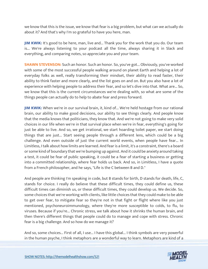we know that this is the issue, we know that fear is a big problem, but what can we actually do about it? And that's why I'm so grateful to have you here, man.

**JIM KWIK:** It's good to be here, man, live and... Thank you for the work that you do. Our team is... We're always listening to your podcast all the time, always sharing it in Slack and everything, and comparing notes, so appreciate you and your team.

**SHAWN STEVENSON:** Such an honor. Such an honor. So, you've got... Obviously, you've worked with some of the most successful people walking around on planet Earth and helping a lot of everyday folks as well, really transforming their mindset, their ability to read faster, their ability to think faster and more clearly, and the list goes on and on. But you also have a lot of experience with helping people to address their fear, and so let's dive into that. What are... So, we know that this is the current circumstances we're dealing with, so what are some of the things people can actually do to help to abate fear and press forward.

**JIM KWIK:** When we're in our survival brain, it, kind of... We're held hostage from our rational brain, our ability to make good decisions, our ability to see things clearly. And people know that the media knows that politicians, they know that. And we're not going to make very solid choices in our life when we're in that survival place when we're in fear, everything's going for just be able to live. And so, we get irrational, we start hoarding toilet paper, we start doing things that are just... Start seeing people through a different lens, which could be a big challenge. And even outside of just the current world events, when people have fear... In Limitless, I talk about how limits are learned. And fear is a limit, it's a constraint, there's a board or some kind of boundary that we're bumping up against. And it could be anxiety around taking a test, it could be fear of public speaking, it could be a fear of starting a business or getting into a committed relationship, where fear holds us back. And so, in Limitless, I have a quote from a French philosopher, and he says, "Life is the C between B and D."

And people are thinking I'm speaking in code, but B stands for birth, D stands for death, life, C, stands for choice. I really do believe that these difficult times, they could define us, these difficult times can diminish us, or these difficult times, they could develop us. We decide. So, some choices that we're working with clients, like little choices that they could make to be able to get over fear, to mitigate fear so they're not in that fight or flight where like you just mentioned, psychoneuroimmunology, where they're more susceptible to colds, to flu, to viruses. Because if you're... Chronic stress, we talk about how it shrinks the human brain, and then there's different things that people could do to manage and cope with stress. Chronic fear is a big challenge. And so how do we manage it?

And so, some choices... First of all, I use... I have this global... I think symbols are very powerful [in the human psyche, I think metaphors are a wonderful way to learn. Metaphors are kind of a](https://themodelhealthshow.com/jim-kwik-rise-above-fear/) 

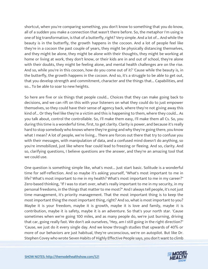shortcut, when you're comparing something, you don't know to something that you do know, all of a sudden you make a connection that wasn't there before. So, the metaphor I'm using is one of big transformation, is that of a butterfly, right? Very simple. And a lot of... And while the beauty is in the butterfly, the growth happens in the cocoon. And a lot of people feel like they're in a cocoon the past couple of years, they might be physically distancing themselves, and they might be alone, they might be alone with their thoughts, they might be working at home or living at work, they don't know, or their kids are in and out of school, they're alone with their doubts, they might be feeling alone, and mental health challenges are on the rise. And so, while you're in this cocoon, how do you come out of it? 'Cause while the beauty is, in the butterfly, the growth happens in the cocoon. And so, it's a struggle to be able to get out, that you develop strength and commitment, character and the things that... Capabilities, and so... To be able to soar to new heights.

So here are five or six things that people could... Choices that they can make going back to decisions, and we can rift on this with your listeners on what they could do to just empower themselves, so they could have their sense of agency back, where they're not giving away this kind of... Or they feel like they're a victim and this is happening to them, where they could... As you talk about, control the controllable. So, I'll make them easy, I'll make them all Cs. So, you during this time is a wonderful time, first, to get clarity. Clarity is power, and because it's really hard to stop somebody who knows where they're going and why they're going there, you know what I mean? A lot of people, we're living... There are forces out there that try to confuse you with their messages, with manipulation of data, and a confused mind doesn't do anything, so you're immobilized, just like where fear could lead to freezing or fleeing. And so, clarity. And so, clarifying questions, I believe questions are the answer, and they're an amazing tool that we could use.

One question is something simple like, what's most... Just start basic. Solitude is a wonderful time for self-reflection. And so maybe it's asking yourself, "What's most important to me in life? What's most important to me in my health? What's most important to me in my career?" Zero-based thinking, "If I was to start over, what's really important to me in my security, in my personal freedoms, in the things that matter to me most?" And I always tell people, it's not just time management, it's priority management. That the most important thing is to keep the most important thing the most important thing, right? And so, what is most important to you? Maybe it is your freedom, maybe it is growth, maybe it is love and family, maybe it is contribution, maybe it is safety, maybe it is an adventure. So that's your north star. 'Cause sometimes when we're going 100 miles, and as many people do, we're just burning, driving that car, going really fast. We don't ask ourselves, "Hey, am I still going in the right direction?" 'Cause, we just do it every single day. And we know through studies that upwards of 40% or more of our behaviors are just habitual, they're unconscious, we're on autopilot. But like Dr. [Stephen Covey who wrote Seven Habits of Highly Effective People says, you don](https://themodelhealthshow.com/jim-kwik-rise-above-fear/)'[t want to climb](https://themodelhealthshow.com/jim-kwik-rise-above-fear/) 

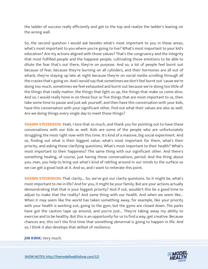the ladder of success really efficiently and get to the top and realize the ladder's leaning on the wrong wall.

So, the second question I would ask besides what's most important to you in these areas, what's most important to you where you're going to live? What's most important to your kid's education? Are my actions aligned with those values? That's the congruency and the integrity that most fulfilled people and the happiest people, cultivating those emotions to be able to dilute the fear that's out there, they're on purpose. And so, a lot of people feel burnt out because of fear, because they're burning on all cylinders, and their hormones are all out of whack, they're staying up late at night because they're on social media scrolling through all the crazies that's going on. And I would say that sometimes we don't feel burnt out 'cause we're doing too much, sometimes we feel exhausted and burnt out because we're doing too little of the things that really matter, the things that light us up, the things that make us come alive. And so, I would really hone in on those four or five things that are most important to us, then take some time to pause and just ask yourself, and then have this conversation with your kids, have this conversation with your significant other, find out what their values are also as well. Are we doing things every single day to meet those things?

**SHAWN STEVENSON:** Yeah, I love that so much, and thank you for pointing out to have these conversations with our kids as well. Kids are some of the people who are unfortunately struggling the most right now with this time. It's kind of a massive, big social experiment. And so, finding out what is their biggest value, what's most important for them, what's their priority, and asking these clarifying questions, What's most important to their health? What's most important to their happiness? The same thing with our significant other. And there's something healing, of course, just having these conversations, period. And the thing about you, man, you help to bring out what's kind of rattling around in our minds to the surface so we can get a good look at it. And so, and I want to reiterate this point.

**SHAWN STEVENSON:** That clarity... So, we've got our clarity questions. So it might be, what's most important to me in life? And for you, it might be your family. But are your actions actually demonstrating that that is your biggest priority? And if not, wouldn't this be a good time to adjust to make that the reality? And same thing with our health. And when we seem like... When it may seem like the world has taken something away, for example, like your priority with your health is working out, going to the gym, but the gyms are closed down. The parks have got the caution tape up around, and you're just... They're taking away my ability to exercise and to be healthy. But this is an opportunity for us to find a way, get creative. Because chances are, this isn't the first time that something abnormal is going to happen in life. And so, I think it also develops that skillset of resilience.

**JIM KWIK: [Very much.](https://themodelhealthshow.com/jim-kwik-rise-above-fear/)**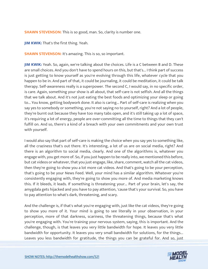**SHAWN STEVENSON:** This is so good, man. So, clarity is number one.

**JIM KWIK:** That's the first thing. Yeah.

**SHAWN STEVENSON: It's amazing. This is so, so important.** 

**JIM KWIK:** Yeah. So, again, we're talking about the choices. Life is a C between B and D. These are small choices. And you don't have to spend hours on this, but that's... I think part of success is just getting to know yourself as you're evolving through this life, whatever cycle that you happen to be in. And part of that, it could be journaling, it could be meditation, it could be talk therapy. Self-awareness really is a superpower. The second C, I would say, in no specific order, is care. Again, something your show is all about, that self-care is not selfish. And all the things that we talk about. And it's not just eating the best foods and optimizing your sleep or going to... You know, getting bodywork done. It also is caring... Part of self-care is realizing when you say yes to somebody or something, you're not saying no to yourself, right? And a lot of people, they're burnt out because they have too many tabs open, and it's still taking up a lot of space, it's requiring a lot of energy, people are over-committing all the time to things that they can't fulfill on. And so, there's a kind of a breach with your own commitments and your own trust with yourself.

I would also say that part of self-care is making the choice when you say yes to something like, all the craziness that's out there. It's interesting, a lot of us are on social media, right? And there is an algorithm to social media, clearly. And one of the algorithms is, whatever you engage with, you get more of. So, if you just happen to be really into, we mentioned this before, but cat videos or whatever, that you just engage, like, share, comment, watch all the cat videos, then they're going to show you a lot more cat videos. And that's going to be your perception, that's going to be your News Feed. Well, your mind has a similar algorithm. Whatever you're consistently engaging with, they're going to show you more of. And media marketing knows this. If it bleeds, it leads. If something is threatening your... Part of your brain, let's say, the amygdala gets hijacked and you have to pay attention, 'cause that's your survival. So, you have to pay attention to what's dark, threatening, and scary.

And the challenge is, if that's what you're engaging with, just like the cat videos, they're going to show you more of it. Your mind is going to see literally in your observation, in your perception, more of that darkness, scariness, the threatening things, because that's what you're engaging with. You're training your nervous system, saying, this is important. And the challenge, though, is that leaves you very little bandwidth for hope. It leaves you very little bandwidth for opportunity. It leaves you very small bandwidth for solutions, for the things... Leaves you less bandwidth for gratitude, [the things you can be grateful for. And so, just](https://themodelhealthshow.com/jim-kwik-rise-above-fear/)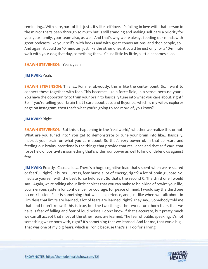reminding... With care, part of it is just... It's like self-love. It's falling in love with that person in the mirror that's been through so much but is still standing and making self-care a priority for you, your family, your team also, as well. And that's why we're always feeding our minds with great podcasts like your self's, with books and with great conversations, and then people, so... And again, it could be 10 minutes, just like the other ones, it could be just only for a 10-minute walk with your dog that day, something that... 'Cause little by little, a little becomes a lot.

#### **SHAWN STEVENSON:** Yeah, yeah.

#### **JIM KWIK:** Yeah.

**SHAWN STEVENSON:** This is... For me, obviously, this is like the center point. So, I want to connect these together with fear. This becomes like a force field, in a sense, because your... You have the opportunity to train your brain to basically tune into what you care about, right? So, if you're telling your brain that I care about cats and Beyonce, which is my wife's explorer page on Instagram, then that's what you're going to see more of, you know?

#### **JIM KWIK:** Right.

**SHAWN STEVENSON:** But this is happening in the "real world," whether we realize this or not. What are you tuned into? You get to demonstrate or tune your brain into like... Basically, instruct your brain on what you care about. So that's very powerful, in that self-care and feeding our brains intentionally the things that provide that resilience and that self-care, that force field of positivity is something that's within our power as well to kind of defend us against fear.

**JIM KWIK:** Exactly. 'Cause a lot... There's a huge cognitive load that's spent when we're scared or fearful, right? It burns... Stress, fear burns a lot of energy, right? A lot of brain glucose. So, insulate yourself with the best force field ever. So that's the second C. The third one I would say... Again, we're talking about little choices that you can make to help kind of rewire your life, your nervous system for confidence, for courage, for peace of mind. I would say the third one is contribution. Fear is something that we all experience, and just like when we talk about in Limitless that limits are learned, a lot of fears are learned, right? They say... Somebody told me that, and I don't know if this is true, but the two things, the two natural born fears that we have is fear of falling and fear of loud noises. I don't know if that's accurate, but pretty much we can all accept that most of the other fears are learned. The fear of public speaking, it's not something we're born with, right? It's something that we learned. And for me, that was a big... That was one of my big fears, which is ironic because that's all I do for a living.

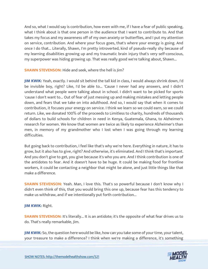And so, what I would say is contribution, how even with me, if I have a fear of public speaking, what I think about is that one person in the audience that I want to contribute to. And that takes my focus and my awareness off of my own anxiety or butterflies, and I put my attention on service, contribution. And where your focus goes, that's where your energy is going. And once I do that... Literally, Shawn, I'm pretty introverted, kind of pseudo-really shy because of my learning disabilities growing up and my traumatic brain injury that's very self-conscious, my superpower was hiding growing up. That was really good we're talking about, Shawn...

**SHAWN STEVENSON:** Hide and seek, where the hell is Jim?

**JIM KWIK:** Yeah, exactly. I would sit behind the tall kid in class, I would always shrink down, I'd be invisible boy, right? Like, I'd be able to... 'Cause I never had any answers, and I didn't understand what people were talking about in school. I didn't want to be picked for sports 'cause I don't want to... Out of fear of just messing up and making mistakes and letting people down, and fears that we take on into adulthood. And so, I would say that when it comes to contribution, it focuses your energy on service. I think we learn so we could earn, so we could return. Like, we donated 100% of the proceeds to Limitless to charity, hundreds of thousands of dollars to build schools for children in need in Kenya, Guatemala, Ghana, to Alzheimer's research for women. We know that women are twice as likely to experience Alzheimer's than men, in memory of my grandmother who I lost when I was going through my learning difficulties.

But going back to contribution, I feel like that's why we're here. Everything in nature, it has to grow, but it also has to give, right? And otherwise, it's eliminated. And I think that's important. And you don't give to get, you give because it's who you are. And I think contribution is one of the antidotes to fear. And it doesn't have to be huge. It could be making food for frontline workers, it could be contacting a neighbor that might be alone, and just little things like that make a difference.

**SHAWN STEVENSON:** Yeah. Man, I love this. That's so powerful because I don't know why I didn't even think of this, that you would bring this one up, because fear has this tendency to make us withdraw, and if we intentionally put forth contribution...

**JIM KWIK:** Right.

**SHAWN STEVENSON:** It's literally... It is an antidote; it's the opposite of what fear drives us to do. That's really remarkable, Jim.

**JIM KWIK:** So, the question here would be like, how can you take some of your time, your talent, [your treasure to make a difference? I think when we](https://themodelhealthshow.com/jim-kwik-rise-above-fear/)'[re making a difference, it](https://themodelhealthshow.com/jim-kwik-rise-above-fear/)'[s something](https://themodelhealthshow.com/jim-kwik-rise-above-fear/) 

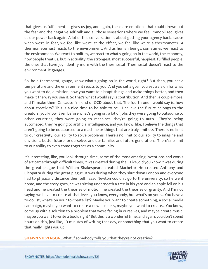that gives us fulfillment, it gives us joy, and again, these are emotions that could drown out the fear and the negative self-talk and all those sensations where we feel immobilized, gives us our power back again. A lot of this conversation is about getting your agency back, 'cause when we're in fear, we feel like we're at the effect, we feel like we're a thermometer. A thermometer just reacts to the environment. And as human beings, sometimes we react to the environment. We react to politics, we react to what's going on in the world, the economy, how people treat us, but in actuality, the strongest, most successful, happiest, fulfilled people, the ones that have joy, identify more with the thermostat. Thermostat doesn't react to the environment, it gauges.

So, be a thermostat, gauge, know what's going on in the world, right? But then, you set a temperature and the environment reacts to you. And you set a goal, you set a vision for what you want to do, a mission, how you want to disrupt things and make things better, and then make it the way you see it. So that's what I would say is contribution. And then, a couple more, and I'll make them Cs 'cause I'm kind of OCD about that. The fourth one I would say is, how about creativity? This is a nice time to be able to be... I believe the future belongs to the creators; you know. Even before what's going on, a lot of jobs they were going to outsource to other countries, they were going to machines, they're going to auto... They're being automated, they're going to artificial intelligence, and you know, like, I believe the things that aren't going to be outsourced to a machine or things that are truly limitless. There is no limit to our creativity, our ability to solve problems. There's no limit to our ability to imagine and envision a better future for ourselves and our families and future generations. There's no limit to our ability to even come together as a community.

It's interesting, like, you look through time, some of the most amazing inventions and works of art came through difficult times, it was created during the... Like, did you know it was during the great plague that William Shakespeare created Macbeth? He created Anthony and Cleopatra during the great plague. It was during when they shut down London and everyone had to physically distance themself. Isaac Newton couldn't go to the university, so he went home, and the story goes, he was sitting underneath a tree in his yard and an apple fell on his head and he created the theories of motion, he created the theories of gravity. And I'm not saying we have to create at that level, you know, everybody, but what's on your... You have a to-do list, what's on your to-create list? Maybe you want to create something, a social media campaign, maybe you want to create a new business, maybe you want to create... You know, come up with a solution to a problem that we're facing in ourselves, and maybe create music, maybe you want to write a book, right? But this is a wonderful time, and again, you don't spend hours on this, just like, 10 minutes of writing that day, or something that you want to create that really lights you up.

**SHAWN STEVENSON:** [What if somebody tells you that they](https://themodelhealthshow.com/jim-kwik-rise-above-fear/)'re not creative?

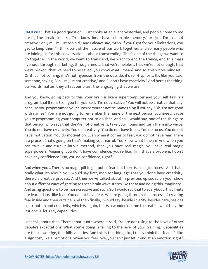**JIM KWIK:** That's a good question. I just spoke at an event yesterday, and people come to me during the break just like, "You know Jim, I have a horrible memory," or "Jim, I'm just not creative," or "Jim, I'm just too old," and I always say, "Stop. If you fight for your limitations, you get to keep them." I think part of the nature of our work together, and so many people who are joining us for this conversation is about transcending. That's one of the things we want to do together in the world, we want to transcend, we want to end the trance, end this mass hypnosis through marketing, through media, that we're helpless, that we're not enough, that we're broken, that we need to be saved, you know what I mean? And so, this whole mindset... Or if it's not coming, if it's not hypnosis from the outside, it's self-hypnosis. It's like you said, someone, saying, "Oh, I'm just not creative," and, "I don't have creativity." And here's the thing, our words matter, they affect our brain, the languaging that we use.

And you know, going back to this, your brain is like a supercomputer and your self-talk is a program that'll run. So, if you tell yourself, "I'm not creative." You will not be creative that day, because you programmed your supercomputer not to. Same thing if you say, "Oh, I'm not good with names." You are not going to remember the name of the next person you meet, 'cause you're programming your computer not to do that. And so, I would say, one of the things to that person who says that they're not creative is, take your nouns and turn them into verbs. You do not have creativity. You do creativity. You do not have focus. You do focus. You do not have motivation. You do motivation. Even when it comes to fear, you do not have fear. There is a process that's going on that's making you fearful. You know what I mean? And when you can take it and turn it into a method, then you have real magic, you have real magic superpowers. Meaning, you don't have confidence, you're like, "Jim, that's a problem, I don't have any confidence." No, you do confidence, right?

And when you... There's no magic pill to get out of fear, but there is a magic process. And that's really what it's about. So, I would say first, monitor language that you don't have creativity, there's a creative process. And then we've talked about in previous episodes on your show about different ways of getting to these brain wave states like theta and doing this imaginary... And using questions to be more creative and such. So, I would say that to everybody, that limits are learned just like fear. You do not have fear. We are going through the process of creating fear inside and then outside. And then finally, I would say, besides clarity, besides care, besides contribution and creativity, which is, again, this is a wonderful time to create, I would say the last one is, let's say capabilities.

Let's talk about that. There's that quote where it said, "You're not rising to the level of other people's expectations. What you're doing is falling to the level of your training." Capabilities are the knowledge, the skills, abilities. And this is the thing, like, I really think that fear, it's like [a signpost, like all emotions. When you feel love, you can](https://themodelhealthshow.com/jim-kwik-rise-above-fear/)'[t just let it end at an emotion, right?](https://themodelhealthshow.com/jim-kwik-rise-above-fear/)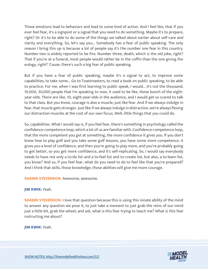Those emotions lead to behaviors and lead to some kind of action. And I feel like, that if you ever feel fear, it's a signpost or a signal that you need to do something. Maybe it's to prepare, right? Or it's to be able to do some of the things we talked about earlier about self-care and clarity and everything. So, let's say you... Somebody has a fear of public speaking. The only reason I bring this up is because a lot of people say it's the number one fear in this country. Number two is widely reported to be fire. Number three, death, which is the old joke, right? That if you're at a funeral, most people would rather be in the coffin than the one giving the eulogy, right? 'Cause, there's such a big fear of public speaking.

But if you have a fear of public speaking, maybe it's a signal to act, to improve some capabilities, to take some... Go to Toastmasters, to read a book on public speaking, to be able to practice. For me, when I was first learning to public speak, I would... It's not the thousand, 10,000, 30,000 people that I'm speaking to now, it used to be like, these bunch of the eightyear-olds. There are like, 10, eight-year-olds in the audience, and I would get so scared to talk to that class. But you know, courage is also a muscle, just like fear. And if we always indulge in fear, that muscle gets stronger. Just like if we always indulge in distraction, we're always flexing our distraction muscles at the cost of our own focus. Well, little things that you could do.

So, capabilities. What I would say is, if you feel fear, there's something in psychology called the confidence-competence loop, which a lot of us are familiar with. Confidence-competence loop, that the more competent you get at something, the more confidence it gives you. If you don't know how to play golf and you take some golf lessons, you have some more competence, it gives you a level of confidence, and then you're going to play more, and you're probably going to get better, so you get more confidence, and it's self-replicating. So, I would say everybody needs to have not only a to-do list and a to-feel list and to-create list, but also, a to-learn list, you know? And so, if you feel fear, what do you need to do to feel like that you're prepared? And I think that skills, those knowledge, those abilities will give me more courage.

#### **SHAWN STEVENSON: Awesome, awesome.**

#### **JIM KWIK:** Yeah.

**SHAWN STEVENSON:** I love that question because this is using this innate ability of the mind to answer any question we pose it, to just take a moment to just grab the reins of our mind just a little bit, grab the wheel, and ask, what is this fear trying to teach me? What is this fear instructing me about?

**JIM KWIK:** Yeah.

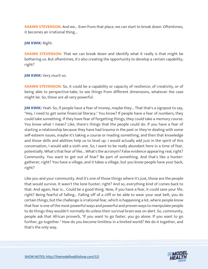**SHAWN STEVENSON:** And we... Even from that place, we can start to break down. Oftentimes, it becomes an irrational thing...

**JIM KWIK:** Right.

**SHAWN STEVENSON:** That we can break down and identify what it really is that might be bothering us. But oftentimes, it's also creating the opportunity to develop a certain capability, right?

**JIM KWIK:** Very much so.

**SHAWN STEVENSON:** So, it could be a capability or capacity of resilience, of creativity, or of being able to perspective-take, to see things from different dimensions, whatever the case might be. So, these are all very powerful.

**JIM KWIK:** Yeah. So, if people have a fear of money, maybe they... That that's a signpost to say, "Hey, I need to get some financial literacy." You know? If people have a fear of numbers, they could take something. If they have fear of forgetting things, they could take a memory course. You know what I mean? Like, there's things that the people could do. If you have a fear of starting a relationship because they have had trauma in the past or they're dealing with some self-esteem issues, maybe it's taking a course or reading something, and then that knowledge and those skills and abilities help us to level up. I would actually add just in the spirit of this conversation, I would add a sixth one. So, I want to be really abundant here in a time of fear, potentially. What's that fear of like... What's the acronym? False evidence appearing real, right? Community. You want to get out of fear? Be part of something. And that's like a huntergatherer, right? You have a village, and it takes a village, but you know people have your back, right?

Like you and your community. And it's one of those things where it's just, those are the people that would survive. It wasn't the lone hunter, right? And so, everything kind of comes back to that. And again, fear is... Could be a good thing. Now, if you have a fear, it could save your life, right? Being fearful of falling... Falling off of a cliff or be able to wear your seat belt, you do certain things, but the challenge is irrational fear, which is happening a lot, where people know that fear is one of the most powerful ways and powerful and proven ways to manipulate people to do things they wouldn't normally do unless their survival brain was on alert. So, community, people ask that African proverb, "If you want to go faster, you go alone. If you want to go further, go together." How do you become limitless in a limited world? We do it together, and that's the only way.

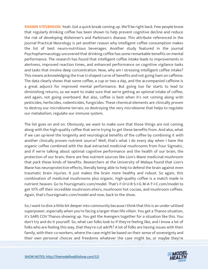**SHAWN STEVENSON:** Yeah. Got a quick break coming up. We'll be right back. Few people know that regularly drinking coffee has been shown to help prevent cognitive decline and reduce the risk of developing Alzheimer's and Parkinson's disease. This attribute referenced in the journal Practical Neurology is yet another reason why intelligent coffee consumption makes the list of best neuro-nutritious beverages. Another study featured in the journal Psychopharmacology uncovered that drinking coffee has some remarkable benefits on mental performance. The research has found that intelligent coffee intake leads to improvements in alertness, improved reaction times, and enhanced performance on cognitive vigilance tasks and tasks that involve deep concentration. Now, why am I stressing intelligent coffee intake? This means acknowledging the true U-shaped curve of benefits and not going ham on caffeine. The data clearly shows that some coffee, a cup or two a day, and the accompanied caffeine is a great adjunct for improved mental performance. But going too far starts to lead to diminishing returns, so we want to make sure that we're getting an optimal intake of coffee, and again, not going overboard. But also, coffee is best when it's not coming along with pesticides, herbicides, rodenticides, fungicides. These chemical elements are clinically proven to destroy our microbiome terrain, so destroying the very microbiome that helps to regulate our metabolism, regulate our immune system.

The list goes on and on. Obviously, we want to make sure that those things are not coming along with the high-quality coffee that we're trying to get these benefits from. And also, what if we can up-level the longevity and neurological benefits of the coffee by combining it with another clinically proven nutrient source? Well, that's what I do every day when I have the organic coffee combined with the dual extracted medicinal mushrooms from Four Sigmatic, and if we're talking about optimal cognitive performance and the health of our brain, the protection of our brain, there are few nutrient sources like Lion's Mane medicinal mushroom that pack these kinds of benefits. Researchers at the University of Malaya found that Lion's Mane has neuroprotective effects, literally being able to help to defend the brain against even traumatic brain injuries. It just makes the brain more healthy and robust. So again, this combination of medicinal mushrooms plus organic, high-quality coffee is a match made in nutrient heaven. Go to foursigmatic.com/model. That's F-O-U-R-S-I-G M-A-T-I-C.com/model to get 10% off their incredible mushroom elixirs, mushroom hot cocoas, and mushroom coffees. Again, that's foursigmatic.com/model and now, back to the show.

So, I want to dive a little bit deeper into community because I think that this is an under-utilized superpower, especially when you're facing a larger-than-life villain. You get a Thanos situation, it's SARS COV Thanos showing up. You get the Avengers together for a situation like this. You don't try and do it yourself. So, what can folks look to if they're feeling like, and I know a lot of folks who are feeling this way, that they're cut adrift? A lot of folks are having issues with their family, with their co-workers, where the case might be based on their sense of sovereignty and [their own personal choices and freedoms whatever the case might be, or maybe they](https://themodelhealthshow.com/jim-kwik-rise-above-fear/)'[re](https://themodelhealthshow.com/jim-kwik-rise-above-fear/)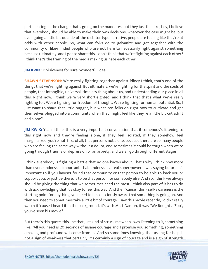participating in the change that's going on the mandates, but they just feel like, hey, I believe that everybody should be able to make their own decisions, whatever the case might be, but even going a little bit outside of the dictator type narrative, people are feeling like they're at odds with other people. So, what can folks do to galvanize and get together with the community of like-minded people who are not here to necessarily fight against something because ultimately, and I got to share this, I don't think that we're fighting against each other? I think that's the framing of the media making us hate each other.

**JIM KWIK:** Divisiveness for sure. Wonderful idea.

**SHAWN STEVENSON:** We're really fighting together against idiocy I think, that's one of the things that we're fighting against. But ultimately, we're fighting for the spirit and the souls of people, that intangible, universal, timeless thing about us, and understanding our place in all this. Right now, I think we're very short-sighted, and I think that that's what we're really fighting for. We're fighting for freedom of thought. We're fighting for human potential. So, I just want to share that little nugget, but what can folks do right now to cultivate and get themselves plugged into a community when they might feel like they're a little bit cut adrift and alone?

**JIM KWIK:** Yeah, I think this is a very important conversation that if somebody's listening to this right now and they're feeling alone, if they feel isolated, if they somehow feel marginalized, you're not, first of all, that person's not alone, because there are so many people who are feeling the same way without a doubt, and sometimes it could be tough when we're going through trauma or depression or an anxiety, and we all go through different stages.

I think everybody is fighting a battle that no one knows about. That's why I think now more than ever, kindness is important, that kindness is a real super-power. I was saying before, it's important to if you haven't found that community or that person to be able to back you or support you, or just be there, is to be that person for somebody else. And so, I think we always should be giving the thing that we sometimes need the most. I think also part of it has to do with acknowledging that it's okay to feel this way. And then 'cause I think self-awareness is the starting point for anything, you need to be consciously aware that something is going on. And then you need to sometimes take a little bit of courage. I saw this movie recently, I didn't really watch it 'cause I heard it in the background, it's with Matt Damon, it was "We Bought a Zoo", you've seen his movie?

But there's this quote, this line that just kind of struck me when I was listening to it, something like, "All you need is 20 seconds of insane courage and I promise you something, something amazing and profound will come from it." And so sometimes knowing that asking for help is [not a sign of weakness that certainly, it](https://themodelhealthshow.com/jim-kwik-rise-above-fear/)'[s certainly a sign of courage and is a sign of strength](https://themodelhealthshow.com/jim-kwik-rise-above-fear/)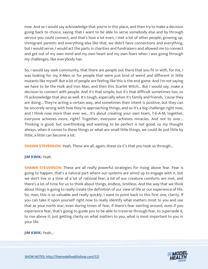now. And so I would say acknowledge that you're in this place, and then try to make a decision going back to choice, saying that I want to be able to serve somebody else and by through service you could connect, and that's how a lot even, I met a lot of other people, growing up, immigrant parents and everything else like that, we didn't have connections and everything, but I would serve, I would act the parts in charities and fundraisers and allowed me to connect and get out of my own mind and my own heart and my own fears when I was going through my challenges, like everybody has.

So, I would say seek community, that there are people out there that you fit in with, for me, I was looking for my X-Men or for people that were just kind of weird and different in little mutants like myself. But a lot of people are feeling like this is the end game. And I'm not saying we have to be the Hulk and Iron Man, and then this Scarlet Witch... But I would say, make a decision to connect with people. And it's that simple, but it's that difficult sometimes too, so I'll acknowledge that also as well. It's tough, especially when it's family and friends, 'cause they are doing... They're acting a certain way, and sometimes their intent is positive, but they can be sincerely wrong with how they're approaching things, and so it's a big challenge right now, and I think now more than ever we... It's about creating your own team, T-E-A-M, together, everyone achieves more, right? Together, everyone achieves miracles. And not to over... Thinking is good, but overthinking and wanting to be perfect is not good, so my thought always, when it comes to these things or what are small little things, we could do just little by little, a little can become a lot.

**SHAWN STEVENSON:** Yeah. These are all, again, these six C's that you took us through...

## **JIM KWIK:** Yeah.

**SHAWN STEVENSON:** These are all really powerful strategies for rising above fear. Fear is going to happen, that's a natural part where our systems are wired up to engage with it, but we don't live in a time of a lot of rational fear, a lot of our creature comforts are met, and there's a lot of time for us to think about things, endless, limitless. And the way that we think about things is going to really create the definition of our view of life or our experience of life. So, man, this is so valuable and really quickly, I want to point back to this first one, clarity. If you can take it upon yourself right now to really identify what matters most to you and use that as your north star, even during times of fear, if there's fear swirling around, even if you experience fear, that's going to guide you to be able to traverse through fear, to supersede it, to rise above it, just getting clarity on what matters to you, what is most important to you in your life.

**JIM KWIK:** Yeah...

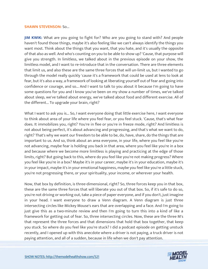#### **SHAWN STEVENSON:** So...

**JIM KWIK:** What are you going to fight for? Who are you going to stand with? And people haven't found those things, maybe it's also feeling like we can't always identify the things you want most. Think about the things that you want, that you hate, and it's usually the opposite of that also as well. And who's counting on you to be able to show up? 'Cause, that purpose will give you strength. In limitless, we talked about in the previous episode on your show, the limitless model, and I want to re-introduce that in the conversation. There are three elements that limit us, and also these are the same three forces that will un-limit us, but I wanted to go through the model really quickly 'cause it's a framework that could be used at lens to look at fear, but it's also a way, a framework of looking at liberating yourself out of fear and going into confidence or courage, and so... And I want to talk to you about it because I'm going to have some questions for you and I know you've been on my show a number of times, we've talked about sleep, we've talked about energy, we've talked about food and different exercise. All of the different... To upgrade your brain, right?

What I want to ask you is... So, I want everyone doing that little exercise here, I want everyone to think about area of your life where you feel fear, or you feel stuck. 'Cause, that's what fear does. It immobilizes you, right? You're in flee or you're in freeze mode, right? And limitless is not about being perfect, it's about advancing and progressing, and that's what we want to do, right? That's why we want our freedom to be able to be, do, have, share, do the things that are important to us. And so, think about an area everyone, in your life, where you feel like you're not advancing, maybe fear is holding you back in that area, where you feel like you're in a box and because where we become more limitless is playing and practicing at the edge of those limits, right? But going back to this, where do you feel like you're not making progress? Where you feel like you're in a box? Maybe it's in your career, maybe it's in your education, maybe it's in your impact, maybe it's in your emotional happiness, maybe you feel like you're a little stuck, you're not progressing there, or your spirituality, your income, or wherever your health.

Now, that box by definition, is three-dimensional, right? So, three forces keep you in that box, these are the same three forces that will liberate you out of that box. So, if it's safe to do so, you're not driving or working out, take a piece of paper everyone, and if you don't, just imagine in your head. I want everyone to draw a Venn diagram. A Venn diagram is just three intersecting circles like Mickey Mouse's ears that are overlapping and a face. And I'm going to just give this as a two-minute review and then I'm going to turn this into a kind of like a framework for getting out of fear. So, three intersecting circles. Now, these are the three M's that represent the three forces and that dimensions that hold that box together, that keep you stuck. So where do you feel like you're stuck? I did a podcast episode on getting unstuck recently, and I opened up with this anecdote where a driver is not paying, a truck driver is not [paying attention, and all of a sudden, because in life when we don](https://themodelhealthshow.com/jim-kwik-rise-above-fear/)'[t pay attention.](https://themodelhealthshow.com/jim-kwik-rise-above-fear/)

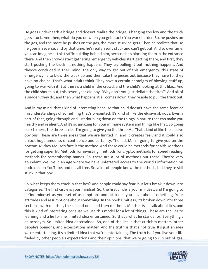He goes underneath a bridge and doesn't realize the bridge is hanging too low and the truck gets stuck. And then, what do you do when you get stuck? You work harder. So, he pushes on the gas, and the more he pushes on the gas, the more stuck he gets. Then he realizes that, so he goes in reverse, and by that time, he's really, really stuck and can't get out. And so over time, you can imagine all this traffic building behind him, because he's blocking them in the entrance there. And then crowds start gathering, emergency vehicles start getting there, and first, they start pushing the truck in, nothing happens. They try pulling it out, nothing happens. And they've concluded in their mind, the only way to get out of this emergency, this state of emergency, is to blow the truck up and then take the pieces out because they have to, they have no choice. That's what adults think. They have a certain paradigm of blowing stuff up, going to war with it. But there's a child in the crowd, and the child's looking at this like... And the child shouts out, this seven-year-old boy, "Why don't you just deflate the tires?" And all of a sudden, they do, and then what happens, it all comes down, they're able to pull the truck out.

And in my mind, that's kind of interesting because that child doesn't have the same fears or misunderstandings of something that's presented. It's kind of like the elusive obvious. Even a part of that, going through and just doubling down on the things in nature that can make you healthy and resilient. And it's so amazing for your immune system and things like that. So going back to here, the three circles. I'm going to give you the three Ms. That's kind of like the elusive obvious. These are three areas that we are limited in, and it creates fear, and it could also unlock huge amounts of confidence and certainty. The last M, I'm going to give you on the bottom, Mickey Mouse's face is the method. And these could be methods for health. Methods for getting super fit. Methods for investing, methods for crypto, methods for speed reading, methods for remembering names. So, there are a lot of methods out there. They're very abundant. We live in an age where we have unfettered access to the world's information on podcasts, on YouTube, and it's all free. So, a lot of people know the methods, but they're still stuck in that box.

So, what keeps them stuck in that box? And people could say fear, but let's break it down into categories. The first circle is your mindset. So, the first circle is your mindset, and I'm going to define mindset as your set of assumptions and attitudes you have about something. Your attitudes and assumptions about something. In the book Limitless, it's broken down into three sections, with mindset, the second one, and then methods. Mindset is... I talk about lies, and this is kind of interesting because we use this model for a lot of things. These are the lies to learning and a lie for me, limited idea entertained. So that's what lie stands for. Everything's an acronym. So limited idea entertained. So, one of the lies is that criticism matters, other people's opinions, and expectations matter. And the truth is that's not true. It's just an idea we're entertaining. It's a limited idea that we're entertaining. The truth is, if you live your life [fueled by other people](https://themodelhealthshow.com/jim-kwik-rise-above-fear/)'[s expectations and their opinions, that we](https://themodelhealthshow.com/jim-kwik-rise-above-fear/)'[re going to run out of gas.](https://themodelhealthshow.com/jim-kwik-rise-above-fear/) 

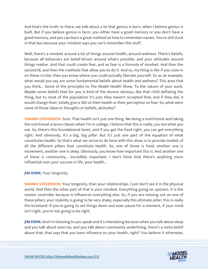And that's the truth. In there, we talk about a lie that genius is born, when I believe genius is built. But if you believe genius is born, you either have a good memory or you don't have a good memory, and you can learn a great method on how to remember names. You're still stuck in that box because your mindset says you can't remember this stuff.

Well, there's a mindset around a lot of things around health, around wellness. There's beliefs, because all behaviors are belief-driven around what's possible, and your attitudes around things matter. And that could create fear, and so fear is a formula of mindset. And then the second M, and then the methods that allow you to do it. And so, my thing is like if you zone in on these circles, then you know where you could actually liberate yourself. So as an example, what would you say are some fundamental beliefs about health and wellness? This area that you think... Some of the principles to The Model Health Show. To the nature of your work. Maybe some beliefs that for you is kind of the elusive obvious, like that child deflating the thing, but to most of the population it's just, they haven't accepted that, and if they did, it would change their, totally give a 180 on their health or their perception on fear. So, what were some of those ideas or thoughts or beliefs, attitudes?

**SHAWN STEVENSON:** Sure. That health isn't just one thing. Me being a nutritionist and taking the nutritional science classes when I'm in college, I believe that this is really, you are what you eat. So, there's this foundational tenet, and if you get the food right, you can get everything right. And obviously, it's a big, big pillar. But it's just one part of the equation of what constitutes health. So that's what we strive to do here with this show is to provide models of all the different pillars that constitute health. So, one of those is food, another one is movement, another one is sleep. Obviously, you know how important this is. And another one of these is community... Incredibly important. I don't think that there's anything more influential over your success in life, your health...

**JIM KWIK:** Your longevity.

**SHAWN STEVENSON:** Your longevity, than your relationships. I just don't see it in the physical world. And then the other part of that is your mindset. Everything going on upstairs. It is the master controller because it influences everything else. So, if you are missing out on one of these pillars, your stability is going to be very shaky, especially this ultimate pillar, this is really the kickstand. If you're going to set things down and even pause for a moment, if your mind isn't right, you're not going to be right.

**JIM KWIK:** And I'm listening to you speak and it's interesting because when you talk about sleep and you talk about exercise, and you talk about community underlining, there's a meta-belief above that, that says that you have influence on your health, right? You believe it otherwise,

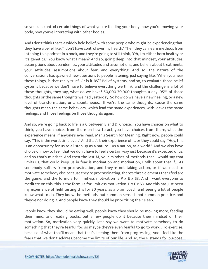so you can control certain things of what you're feeding your body, how you're moving your body, how you're interacting with other bodies.

And I don't think that's a widely held belief, with some people who might be experiencing that, they have a belief like, "I don't have control over my health." Then they can learn methods from listening to a podcast in a book, and they're going to still think, "Oh, I'm either born healthy or it's genetics." You know what I mean? And so, going deep into that mindset, your attitudes, assumptions about pandemics, your attitudes and assumptions, and beliefs about treatments, your attitudes, assumptions about fear, and everything. And so, the nature of the conversations has spawned new questions to people listening, just saying like, "When you hear these things, is that really true? Or is it BS?" Belief systems, and so, to evaluate those belief systems because we don't have to believe everything we think, and the challenge is a lot of those thoughts, they say, what do we have? 50,000-70,000 thoughts a day, 95% of those thoughts or the same thoughts we had yesterday. So how do we have a new healing, or a new level of transformation, or a spontaneous... If we're the same thoughts, 'cause the same thoughts mean the same behaviors, which lead the same experiences, with leaves the same feelings, and those feelings be those thoughts again.

And so, we're going back to life is a C between B and D. Choice... You have choices on what to think, you have choices from there on how to act, you have choices from there, what the experience means, if anyone's ever read, Man's Search for Meaning. Right now, people could say, "This is the worst time ever." And that's their experience of it, or they could say, "Hey, this is an opportunity for us to all step up as a nature... As a nation, as a world." And we also have choice on how to feel, that we don't have to feel a certain way just because it's expected of us, and so that's mindset. And then the last M, your mindset of methods that I would say that limits us, that could keep us in fear is motivation and motivation, I talk about that if... As somebody suffers from procrastination, and they're not taking action, or if we need to motivate somebody else because they're procrastinating, there's three elements that I feel are the game, and the formula for limitless motivation is P x E x S3. And I want everyone to meditate on this, this is the formula for limitless motivation, P x E x S3. And this has just been my experience of field testing this for 30 years, as a brain coach and seeing a lot of people know what to do. They know the methods, but common sense is not common practice, and they're not doing it. And people know they should be prioritizing their sleep.

People know they should be eating well, people know they should be moving more, feeding their mind, and reading books, but a few people do it because their mindset or their motivation. So, motivation very quickly, let's say we want to motivate somebody to do something that they're fearful for, so maybe they're even fearful to go to work... To exercise, because of what that'll mean, that that's keeping them from progressing. And I feel like the [fears that we don](https://themodelhealthshow.com/jim-kwik-rise-above-fear/)'[t address become the limits of our life. And so, the P stands for purpose,](https://themodelhealthshow.com/jim-kwik-rise-above-fear/)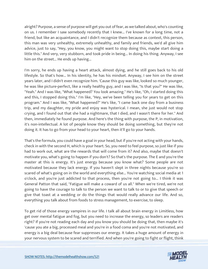alright? Purpose, a sense of purpose will get you out of fear, as we talked about, who's counting on us. I remember I saw somebody recently that I knew... I've known for a long time, not a friend, but like an acquaintance, and I didn't recognize them because as context, this person, this man was very unhealthy, extremely unhealthy, and family and friends, we'd all give him advice, just to say, "Hey, you know, you might want to stop doing this, maybe start doing a little this." And very, very stubborn, and took pride in being... In doing his thing. Anyway, I see him on the street... He ends up having...

I'm sorry, he ends up having a heart attack, almost dying, and he still goes back to his old lifestyle. So that's how... In his identity, he has his mindset. Anyway, I see him on the street years later, and I didn't even recognize him. 'Cause this guy was like, looked so much younger, he was like picture-perfect, like a really healthy guy, and I was like, "Is that you?" He was like, "Yeah." And I was like, "What happened? You look amazing." He's like, "Oh, I started doing this and this, I stopped doing this." I'm like, "Hey, we've been telling you for years to get on this program." And I was like, "What happened?" He's like, "I came back one day from a business trip, and my daughter, my pride and enjoy was hysterical. I mean, she just would not stop crying, and I found out that she had a nightmare, that I died, and I wasn't there for her." And then, immediately he found purpose. And here's the thing with purpose, the P, in motivation, it's non-intellectual. A lot of people know they should be doing something, but they're not doing it. It has to go from your head to your heart, then it'll go to your hands.

That's the formula, you could have a goal in your head, but if you're not acting with your hands, check in with the second H, which is your heart. So, you need to feel purpose, so just like if you had to work out, what are the rewards that will come from it? And also, maybe that doesn't motivate you, what's going to happen if you don't? So that's the purpose. The E and you're the master at this is energy. It's just energy because you know what? Some people are not motivated because they lack energy. If you haven't slept in three nights because you're so scared of what's going on in the world and everything else... You're watching social media at 1 o'clock, and you're just addicted to that process, then you're not going to... I think it was General Patton that said, "Fatigue will make a coward of us all." When we're tired, we're not going to have the courage to talk to the person we want to talk to or to give that speech or give that toast at a wedding or do the things that would really advance our life. And so, everything you talk about from foods to stress management, to exercise, to sleep.

To get rid of those energy vampires in our life. I talk all about brain energy in Limitless, how get over mental fatigue and fog, but you need to increase the energy, so leaders are readers right? If you're not reading each day and you know you should be doing that, then maybe it's 'cause you ate a big, processed meal and you're in a food coma and you're not motivated, and energy is a big deal because fear suppresses our energy. It takes a huge amount of energy in [your nervous system to be scared and terrified. And when you](https://themodelhealthshow.com/jim-kwik-rise-above-fear/)'[re going to fight or flight, think](https://themodelhealthshow.com/jim-kwik-rise-above-fear/)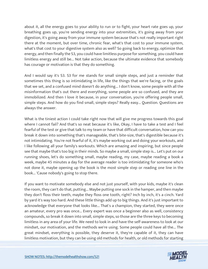about it, all the energy goes to your ability to run or to fight, your heart rate goes up, your breathing goes up, you're sending energy into your extremities, it's going away from your digestion, it's going away from your immune system because that's not really important right there at the moment, but over time, chronic fear, what's that cost to your immune system, what's that cost to your digestive system also as well? So going back to energy, optimize that energy, and then finally the S3, you could have limitless purpose for something, you could have limitless energy and still be... Not take action, because the ultimate evidence that somebody has courage or motivation is that they do something.

And I would say it's S3. S3 for me stands for small simple steps, and just a reminder that sometimes this thing is so intimidating in life, like the things that we're facing, or the goals that we set, and a confused mind doesn't do anything... I don't know, some people with all the misinformation that's out there and everything, some people are so confused, and they are immobilized. And then I love it because, in your conversation, you're offering people small, simple steps. And how do you find small, simple steps? Really easy... Question. Questions are always the answer.

What is the tiniest action I could take right now that will give me progress towards this goal where I cannot fail? And that's so neat because it's like, Okay, I have to take a test and I feel fearful of the test or give that talk to my team or have that difficult conversation, how can you break it down into something that's manageable, that's bite-size, that's digestible because it's not intimidating. You're not fearful of it, it's maybe working out and doing your workouts, and I like following all your family's workouts. Which are amazing and inspiring, but since people see that maybe that's too big in their minds. So maybe a small, simple step is... Let's put on our running shoes, let's do something small, maybe reading, my case, maybe reading a book a week, maybe 45 minutes a day for the average reader is too intimidating for someone who's not done it, maybe opening up the book is the most simple step or reading one line in the book... 'Cause nobody's going to stop there.

If you want to motivate somebody else and not just yourself, with your kids, maybe it's clean the room, they can't do that, putting... Maybe putting one sock in the hamper, and then maybe they don't floss their teeth, maybe they floss one tooth, right? Inch by inch, it's a cinch. Yard by yard it's way too hard. And these little things add up to big things. And it's just important to acknowledge that everyone that looks like... That's a champion, they started, they were once an amateur, every pro was once... Every expert was once a beginner also as well, consistency compounds, so break it down into small, simple steps, so those are the three keys to becoming limitless in any area of your life. We need to look in and have the self-awareness to look at our mindset, our motivation, and the methods we're using. Some people could have all the... The great mindset, everything is possible, they deserve it, they're capable of it, they can have [limitless motivation, but they can be using old methods for health, or old methods for starting](https://themodelhealthshow.com/jim-kwik-rise-above-fear/)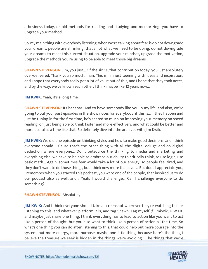a business today, or old methods for reading and studying and memorizing, you have to upgrade your method.

So, my main thing with everybody listening, when we're talking about fear is do not downgrade your dreams, people are shrinking, that's not what we need to be doing, do not downgrade your dreams to meet this current situation, upgrade your mindset, upgrade the motivation, upgrade the methods you're using to be able to meet those big dreams.

**SHAWN STEVENSON:** Jim, you just... Of the six Cs, that contribution today, you just absolutely over-delivered. Thank you so much, man. This is, I'm just teeming with ideas and inspiration, and I hope that everybody really got a lot of value out of this, and I hope that they took notes, and by the way, we've known each other, I think maybe like 12 years now...

**JIM KWIK:** Yeah, it's a long time.

**SHAWN STEVENSON:** Its bananas. And to have somebody like you in my life, and also, we're going to put your past episodes in the show notes for everybody, if this is... If they happen and just be tuning in for the first time, he's shared so much on improving your memory on speed reading, on just being able to think faster and more effectively, and what could be better and more useful at a time like that. So definitely dive into the archives with Jim Kwik.

**JIM KWIK:** We did one episode on thinking styles and how to make good decisions, and I think everyone should... 'Cause that's the other thing with all the digital deluge and on digital deduction where everyone... Don't outsource the thinking to media and marketing and everything else, we have to be able to embrace our ability to critically think, to use logic, use basic math... Again, sometimes fear would take a lot of our energy, so people feel tired, and they don't want to do those things, but I think now more than ever... But dude I appreciate you, I remember when you started this podcast, you were one of the people, that inspired us to do our podcast also as well, and... Yeah, I would challenge... Can I challenge everyone to do something?

## **SHAWN STEVENSON: Absolutely.**

**JIM KWIK:** And I think everyone should take a screenshot wherever they're watching this or listening to this, and whatever platform it is, and tag Shawn. Tag myself @jimkwik, K-W-I-K, and maybe just share one thing. I think everything has to lead to action like you want to act like a person of thought, but you also want to think like a person of action all the time, So what's one thing you can do after listening to this, that could help put more courage into the system, put more energy, more purpose, maybe one little thing, because here's the thing I [believe the treasure we seek is hidden in the things we](https://themodelhealthshow.com/jim-kwik-rise-above-fear/)'[re avoiding... The things that we](https://themodelhealthshow.com/jim-kwik-rise-above-fear/)'[re](https://themodelhealthshow.com/jim-kwik-rise-above-fear/) 

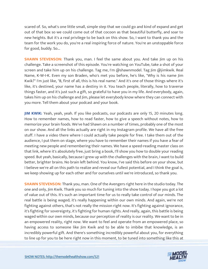scared of. So, what's one little small, simple step that we could go and kind of expand and get out of that box so we could come out of that cocoon as that beautiful butterfly, and soar to new heights. But it's a real privilege to be back on this show. So, I want to thank you and the team for the work you do, you're a real inspiring force of nature. You're an unstoppable force for good, buddy. So...

**SHAWN STEVENSON:** Thank you, man. I feel the same about you. And take Jim up on his challenge. Take a screenshot of this episode. You're watching on YouTube, take a shot of your screen and take him up on his challenge. Tag me, I'm @shawnmodel. Tag Jim @jimkwik. Real Name, K-W-I-K. Even my son Braden, who's met you before, he's like, "Why is his name Jim Kwik?" I'm just like, "B, first of all, this is his real name." And it's one of those things where it's like, it's destined, your name has a destiny in it. You teach people, literally, how to traverse things faster, and it's just such a gift, so grateful to have you in my life. And everybody, again, takes him up on his challenge and Jim, please let everybody know where they can connect with you more. Tell them about your podcast and your book.

**JIM KWIK:** Yeah, yeah, yeah. If you like podcasts, our podcasts are only 15, 20 minutes long. How to remember names, how to read faster, how to give a speech without notes, how to memorize your brain foods. We've had Shawn on a number of times, probably one of the most on our show. And all the links actually are right in my Instagram profile. We have all the free stuff. I have a video there where I could actually take people for free. I take them out of the audience, I put them on stage, where you have to remember their names if you have a fear of meeting new people and remembering their names. We have a speed-reading master class on that link, where it's absolutely free, just bring a book, I'll show you how to double your reading speed. But yeah, basically, because I grew up with the challenges with the brain, I want to build better, brighter brains. No brain left behind. You know, I've said this before on your show, but I believe we're all on this path to realize and reveal our fullest potential, and I think the goal is, we keep showing up for each other and for ourselves until we're introduced, so thank you.

**SHAWN STEVENSON:** Thank you, man. One of the Avengers right here in the studio today. The one and only, Jim Kwik. Thank you so much for tuning into the show today. I hope you got a lot of value out of this. It's such an important time for us to really take control of our minds. The real battle is being waged; it's really happening within our own minds. And again, we're not fighting against others, that's not really the mission right now. It's fighting against ignorance, it's fighting for sovereignty, it's fighting for human rights. And really, again, this battle is being waged within our own minds, because our perception of reality is our reality. We want to be in an empowered reality, right now. We want to feel and operate from an empowered place, so having access to someone like Jim Kwik and to be able to imbibe that knowledge, is an incredibly powerful gift. And there's something incredibly powerful about you, for everything [to line up for you to be here right now in this moment, to be tuned into something like this at](https://themodelhealthshow.com/jim-kwik-rise-above-fear/)